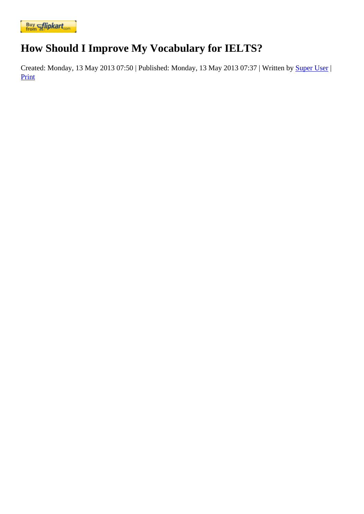## [How Should](https://www.flipkart.com/spoken-english-3rd/p/itmezunpyjy5xcc7?pid=9789339221461&affid=kaminiraw) I Improve My Vocabulary for IELTS?

Created: Monday, 13 May 2013 07: FRPublished: Monday, 13 May 2013 07: BW ritten by Super Uset **Print**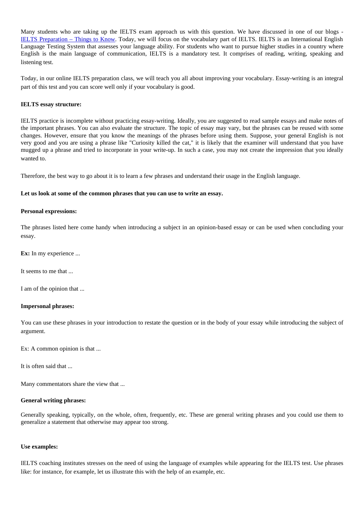Many students who are taking up the IELTS exam approach us with this question. We have discussed in one of our blogs - IELTS Preparation – Things to Knowoday, we will focus on the vocabulary part of IELTS. IELTS is an International English Language Testing System that assesses your language ability. For students who want to pursue higher studies in a country whe English is the main language of communication, IELTS is a mandatory test. It comprises of reading, writing, speaking and listening test.

Today, in our online IELTS preparation class, we will teach you all about improving your vocabulary. Essay-writing is an integral part of this test and you can score well only if your vocabulary is good.

IELTS essay structure:

IELTS practice is incomplete without practicing essay-writing. Ideally, you are suggested to read sample essays and make notes of the important phrases. You can also evaluate the structure. The topic of essay may vary, but the phrases can be reused with som changes. However, ensure that you know the meanings of the phrases before using them. Suppose, your general English is n very good and you are using a phrase like "Curiosity killed the cat," it is likely that the examiner will understand that you have mugged up a phrase and tried to incorporate in your write-up. In such a case, you may not create the impression that you ideally wanted to.

Therefore, the best way to go about it is to learn a few phrases and understand their usage in the English language.

Let us look at some of the common phrases that you can use to write an essay.

Personal expressions:

The phrases listed here come handy when introducing a subject in an opinion-based essay or can be used when concluding yo essay.

Ex: In my experience ...

It seems to me that ...

I am of the opinion that ...

Impersonal phrases:

You can use these phrases in your introduction to restate the question or in the body of your essay while introducing the subject c argument.

Ex: A common opinion is that ...

It is often said that ...

Many commentators share the view that ...

General writing phrases:

Generally speaking, typically, on the whole, often, frequently, etc. These are general writing phrases and you could use them to generalize a statement that otherwise may appear too strong.

Use examples:

IELTS coaching institutes stresses on the need of using the language of examples while appearing for the IELTS test. Use phrase like: for instance, for example, let us illustrate this with the help of an example, etc.